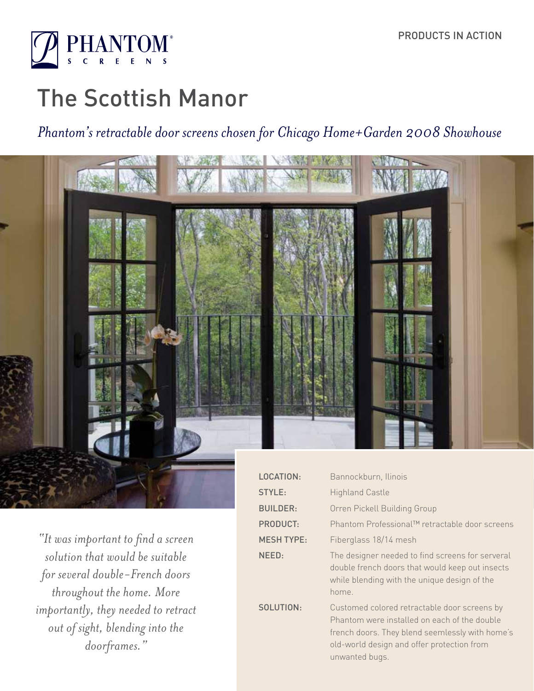

# The Scottish Manor

## *Phantom's retractable door screens chosen for Chicago Home+Garden 2008 Showhouse*



*"It was important to find a screen solution that would be suitable for several double-French doors throughout the home. More importantly, they needed to retract out of sight, blending into the doorframes."*

| LOCATION:         | Bannockburn, Ilinois                                                                                                                                                                                            |
|-------------------|-----------------------------------------------------------------------------------------------------------------------------------------------------------------------------------------------------------------|
| STYLE:            | <b>Highland Castle</b>                                                                                                                                                                                          |
| <b>BUILDER:</b>   | Orren Pickell Building Group                                                                                                                                                                                    |
| <b>PRODUCT:</b>   | Phantom Professional™ retractable door screens                                                                                                                                                                  |
| <b>MESH TYPE:</b> | Fiberglass 18/14 mesh                                                                                                                                                                                           |
| NEED:             | The designer needed to find screens for serveral<br>double french doors that would keep out insects<br>while blending with the unique design of the<br>home.                                                    |
| SOLUTION:         | Customed colored retractable door screens by<br>Phantom were installed on each of the double<br>french doors. They blend seemlessly with home's<br>old-world design and offer protection from<br>unwanted bugs. |